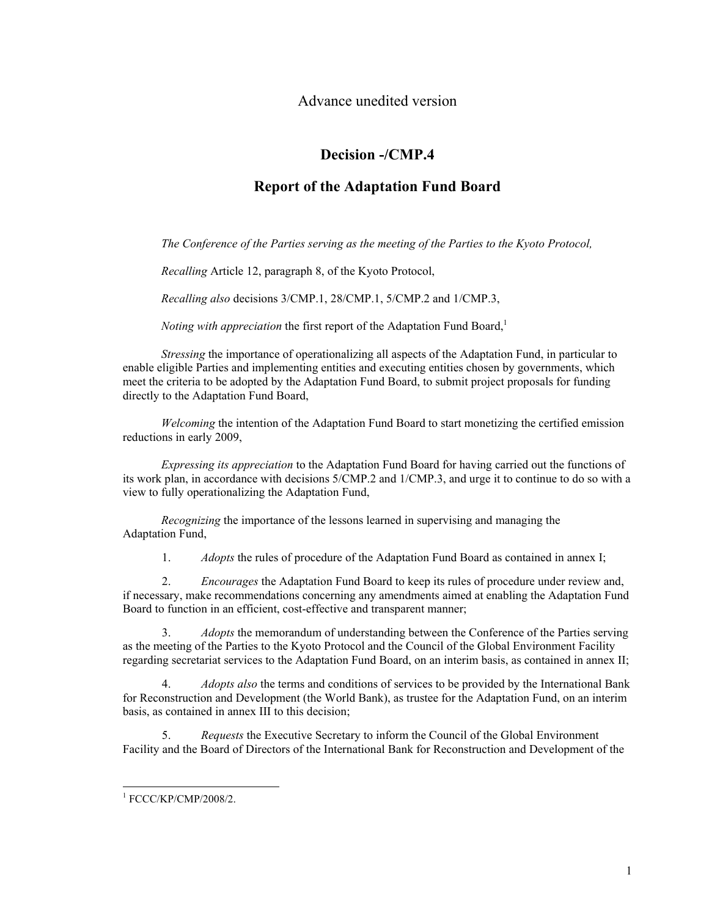Advance unedited version

# **Decision -/CMP.4**

## **Report of the Adaptation Fund Board**

*The Conference of the Parties serving as the meeting of the Parties to the Kyoto Protocol,* 

*Recalling* Article 12, paragraph 8, of the Kyoto Protocol,

*Recalling also* decisions 3/CMP.1, 28/CMP.1, 5/CMP.2 and 1/CMP.3,

*Noting with appreciation* the first report of the Adaptation Fund Board,<sup>1</sup>

*Stressing* the importance of operationalizing all aspects of the Adaptation Fund, in particular to enable eligible Parties and implementing entities and executing entities chosen by governments, which meet the criteria to be adopted by the Adaptation Fund Board, to submit project proposals for funding directly to the Adaptation Fund Board,

*Welcoming* the intention of the Adaptation Fund Board to start monetizing the certified emission reductions in early 2009,

*Expressing its appreciation* to the Adaptation Fund Board for having carried out the functions of its work plan, in accordance with decisions 5/CMP.2 and 1/CMP.3, and urge it to continue to do so with a view to fully operationalizing the Adaptation Fund,

*Recognizing* the importance of the lessons learned in supervising and managing the Adaptation Fund,

1. *Adopts* the rules of procedure of the Adaptation Fund Board as contained in annex I;

2. *Encourages* the Adaptation Fund Board to keep its rules of procedure under review and, if necessary, make recommendations concerning any amendments aimed at enabling the Adaptation Fund Board to function in an efficient, cost-effective and transparent manner;

3. *Adopts* the memorandum of understanding between the Conference of the Parties serving as the meeting of the Parties to the Kyoto Protocol and the Council of the Global Environment Facility regarding secretariat services to the Adaptation Fund Board, on an interim basis, as contained in annex II;

4. *Adopts also* the terms and conditions of services to be provided by the International Bank for Reconstruction and Development (the World Bank), as trustee for the Adaptation Fund, on an interim basis, as contained in annex III to this decision;

5. *Requests* the Executive Secretary to inform the Council of the Global Environment Facility and the Board of Directors of the International Bank for Reconstruction and Development of the

 $\overline{a}$ 

<sup>1</sup> FCCC/KP/CMP/2008/2.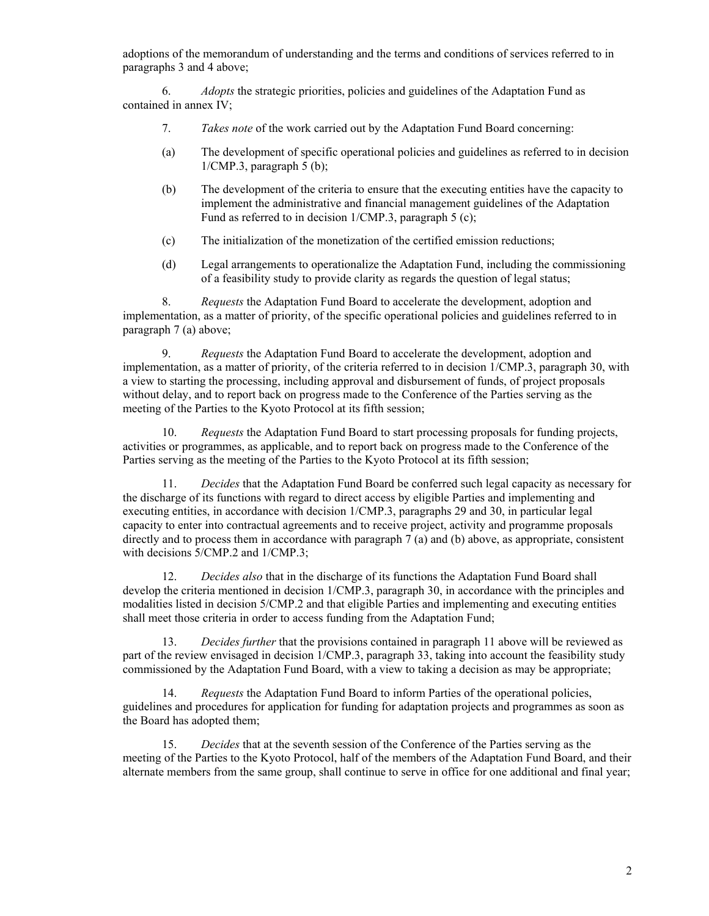adoptions of the memorandum of understanding and the terms and conditions of services referred to in paragraphs 3 and 4 above;

6. *Adopts* the strategic priorities, policies and guidelines of the Adaptation Fund as contained in annex IV;

- 7. *Takes note* of the work carried out by the Adaptation Fund Board concerning:
- (a) The development of specific operational policies and guidelines as referred to in decision 1/CMP.3, paragraph 5 (b);
- (b) The development of the criteria to ensure that the executing entities have the capacity to implement the administrative and financial management guidelines of the Adaptation Fund as referred to in decision 1/CMP.3, paragraph 5 (c);
- (c) The initialization of the monetization of the certified emission reductions;
- (d) Legal arrangements to operationalize the Adaptation Fund, including the commissioning of a feasibility study to provide clarity as regards the question of legal status;

8. *Requests* the Adaptation Fund Board to accelerate the development, adoption and implementation, as a matter of priority, of the specific operational policies and guidelines referred to in paragraph 7 (a) above;

9. *Requests* the Adaptation Fund Board to accelerate the development, adoption and implementation, as a matter of priority, of the criteria referred to in decision 1/CMP.3, paragraph 30, with a view to starting the processing, including approval and disbursement of funds, of project proposals without delay, and to report back on progress made to the Conference of the Parties serving as the meeting of the Parties to the Kyoto Protocol at its fifth session;

10. *Requests* the Adaptation Fund Board to start processing proposals for funding projects, activities or programmes, as applicable, and to report back on progress made to the Conference of the Parties serving as the meeting of the Parties to the Kyoto Protocol at its fifth session;

11. *Decides* that the Adaptation Fund Board be conferred such legal capacity as necessary for the discharge of its functions with regard to direct access by eligible Parties and implementing and executing entities, in accordance with decision 1/CMP.3, paragraphs 29 and 30, in particular legal capacity to enter into contractual agreements and to receive project, activity and programme proposals directly and to process them in accordance with paragraph 7 (a) and (b) above, as appropriate, consistent with decisions 5/CMP.2 and 1/CMP.3;

12. *Decides also* that in the discharge of its functions the Adaptation Fund Board shall develop the criteria mentioned in decision 1/CMP.3, paragraph 30, in accordance with the principles and modalities listed in decision 5/CMP.2 and that eligible Parties and implementing and executing entities shall meet those criteria in order to access funding from the Adaptation Fund;

13. *Decides further* that the provisions contained in paragraph 11 above will be reviewed as part of the review envisaged in decision 1/CMP.3, paragraph 33, taking into account the feasibility study commissioned by the Adaptation Fund Board, with a view to taking a decision as may be appropriate;

14. *Requests* the Adaptation Fund Board to inform Parties of the operational policies, guidelines and procedures for application for funding for adaptation projects and programmes as soon as the Board has adopted them;

15. *Decides* that at the seventh session of the Conference of the Parties serving as the meeting of the Parties to the Kyoto Protocol, half of the members of the Adaptation Fund Board, and their alternate members from the same group, shall continue to serve in office for one additional and final year;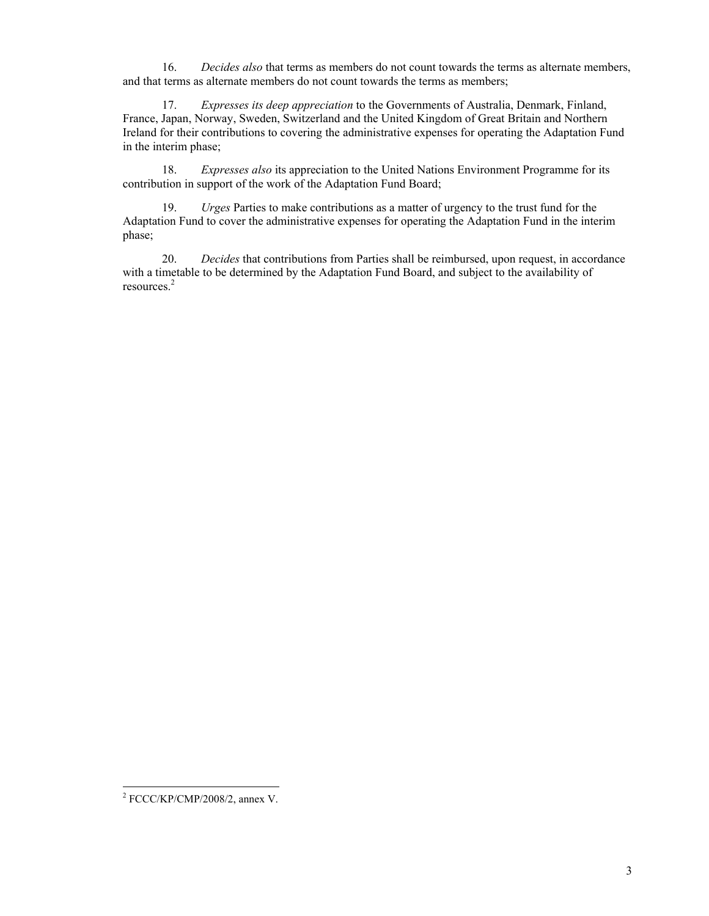16. *Decides also* that terms as members do not count towards the terms as alternate members, and that terms as alternate members do not count towards the terms as members;

17. *Expresses its deep appreciation* to the Governments of Australia, Denmark, Finland, France, Japan, Norway, Sweden, Switzerland and the United Kingdom of Great Britain and Northern Ireland for their contributions to covering the administrative expenses for operating the Adaptation Fund in the interim phase;

18. *Expresses also* its appreciation to the United Nations Environment Programme for its contribution in support of the work of the Adaptation Fund Board;

19. *Urges* Parties to make contributions as a matter of urgency to the trust fund for the Adaptation Fund to cover the administrative expenses for operating the Adaptation Fund in the interim phase;

20. *Decides* that contributions from Parties shall be reimbursed, upon request, in accordance with a timetable to be determined by the Adaptation Fund Board, and subject to the availability of resources.<sup>2</sup>

 2 FCCC/KP/CMP/2008/2, annex V.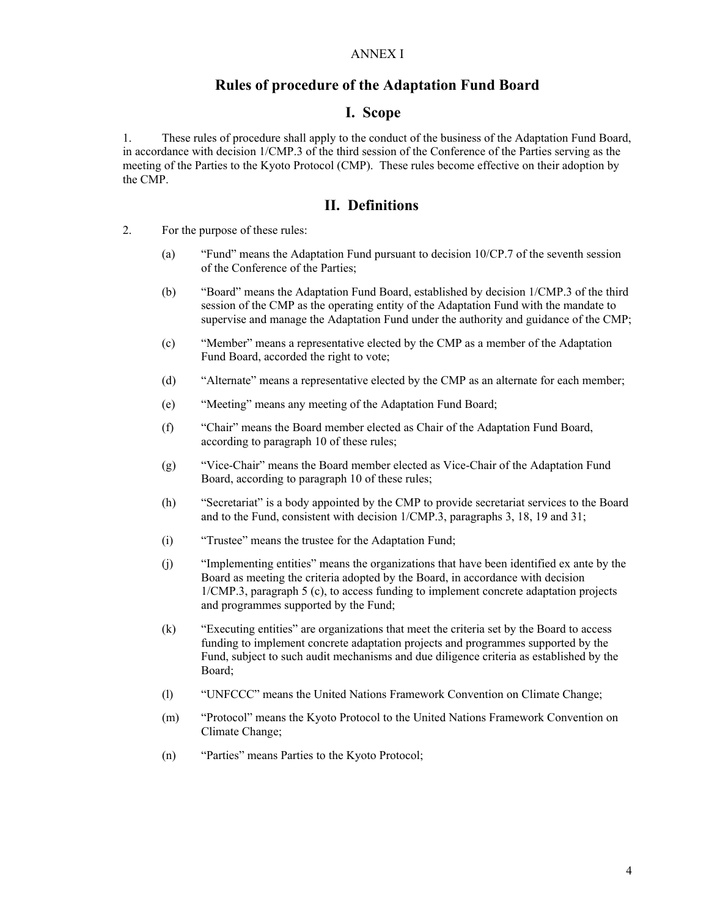#### ANNEX I

### **Rules of procedure of the Adaptation Fund Board**

#### **I. Scope**

1. These rules of procedure shall apply to the conduct of the business of the Adaptation Fund Board, in accordance with decision 1/CMP.3 of the third session of the Conference of the Parties serving as the meeting of the Parties to the Kyoto Protocol (CMP). These rules become effective on their adoption by the CMP.

## **II. Definitions**

- 2. For the purpose of these rules:
	- (a) "Fund" means the Adaptation Fund pursuant to decision 10/CP.7 of the seventh session of the Conference of the Parties;
	- (b) "Board" means the Adaptation Fund Board, established by decision 1/CMP.3 of the third session of the CMP as the operating entity of the Adaptation Fund with the mandate to supervise and manage the Adaptation Fund under the authority and guidance of the CMP;
	- (c) "Member" means a representative elected by the CMP as a member of the Adaptation Fund Board, accorded the right to vote;
	- (d) "Alternate" means a representative elected by the CMP as an alternate for each member;
	- (e) "Meeting" means any meeting of the Adaptation Fund Board;
	- (f) "Chair" means the Board member elected as Chair of the Adaptation Fund Board, according to paragraph 10 of these rules;
	- (g) "Vice-Chair" means the Board member elected as Vice-Chair of the Adaptation Fund Board, according to paragraph 10 of these rules;
	- (h) "Secretariat" is a body appointed by the CMP to provide secretariat services to the Board and to the Fund, consistent with decision 1/CMP.3, paragraphs 3, 18, 19 and 31;
	- (i) "Trustee" means the trustee for the Adaptation Fund;
	- (j) "Implementing entities" means the organizations that have been identified ex ante by the Board as meeting the criteria adopted by the Board, in accordance with decision 1/CMP.3, paragraph 5 (c), to access funding to implement concrete adaptation projects and programmes supported by the Fund;
	- (k) "Executing entities" are organizations that meet the criteria set by the Board to access funding to implement concrete adaptation projects and programmes supported by the Fund, subject to such audit mechanisms and due diligence criteria as established by the Board;
	- (l) "UNFCCC" means the United Nations Framework Convention on Climate Change;
	- (m) "Protocol" means the Kyoto Protocol to the United Nations Framework Convention on Climate Change;
	- (n) "Parties" means Parties to the Kyoto Protocol;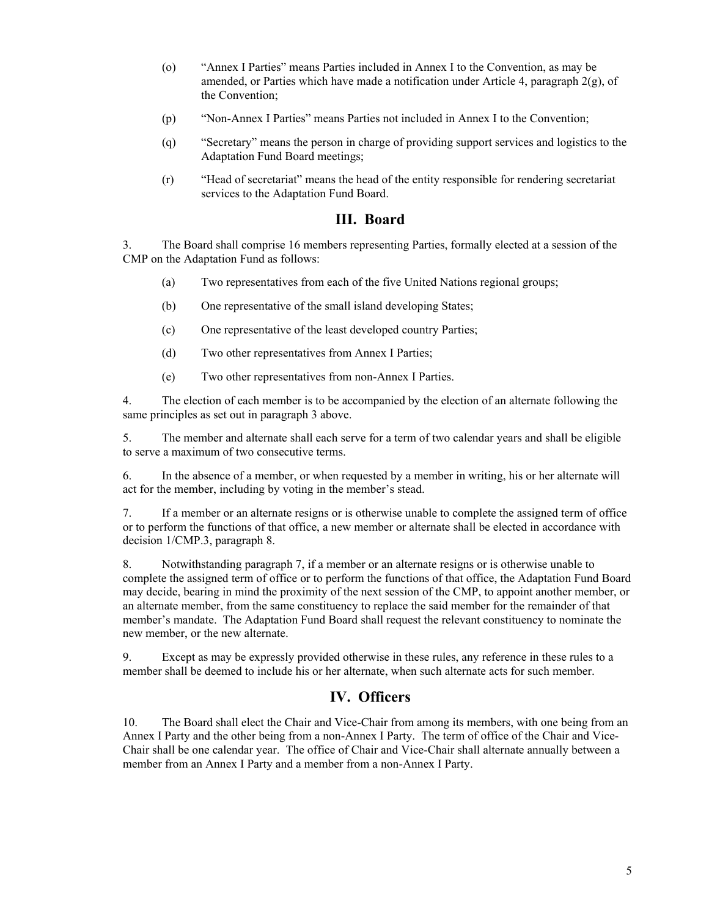- (o) "Annex I Parties" means Parties included in Annex I to the Convention, as may be amended, or Parties which have made a notification under Article 4, paragraph  $2(g)$ , of the Convention;
- (p) "Non-Annex I Parties" means Parties not included in Annex I to the Convention;
- (q) "Secretary" means the person in charge of providing support services and logistics to the Adaptation Fund Board meetings;
- (r) "Head of secretariat" means the head of the entity responsible for rendering secretariat services to the Adaptation Fund Board.

### **III. Board**

3. The Board shall comprise 16 members representing Parties, formally elected at a session of the CMP on the Adaptation Fund as follows:

- (a) Two representatives from each of the five United Nations regional groups;
- (b) One representative of the small island developing States;
- (c) One representative of the least developed country Parties;
- (d) Two other representatives from Annex I Parties;
- (e) Two other representatives from non-Annex I Parties.

4. The election of each member is to be accompanied by the election of an alternate following the same principles as set out in paragraph 3 above.

5. The member and alternate shall each serve for a term of two calendar years and shall be eligible to serve a maximum of two consecutive terms.

6. In the absence of a member, or when requested by a member in writing, his or her alternate will act for the member, including by voting in the member's stead.

7. If a member or an alternate resigns or is otherwise unable to complete the assigned term of office or to perform the functions of that office, a new member or alternate shall be elected in accordance with decision 1/CMP.3, paragraph 8.

8. Notwithstanding paragraph 7, if a member or an alternate resigns or is otherwise unable to complete the assigned term of office or to perform the functions of that office, the Adaptation Fund Board may decide, bearing in mind the proximity of the next session of the CMP, to appoint another member, or an alternate member, from the same constituency to replace the said member for the remainder of that member's mandate. The Adaptation Fund Board shall request the relevant constituency to nominate the new member, or the new alternate.

9. Except as may be expressly provided otherwise in these rules, any reference in these rules to a member shall be deemed to include his or her alternate, when such alternate acts for such member.

### **IV. Officers**

10. The Board shall elect the Chair and Vice-Chair from among its members, with one being from an Annex I Party and the other being from a non-Annex I Party. The term of office of the Chair and Vice-Chair shall be one calendar year. The office of Chair and Vice-Chair shall alternate annually between a member from an Annex I Party and a member from a non-Annex I Party.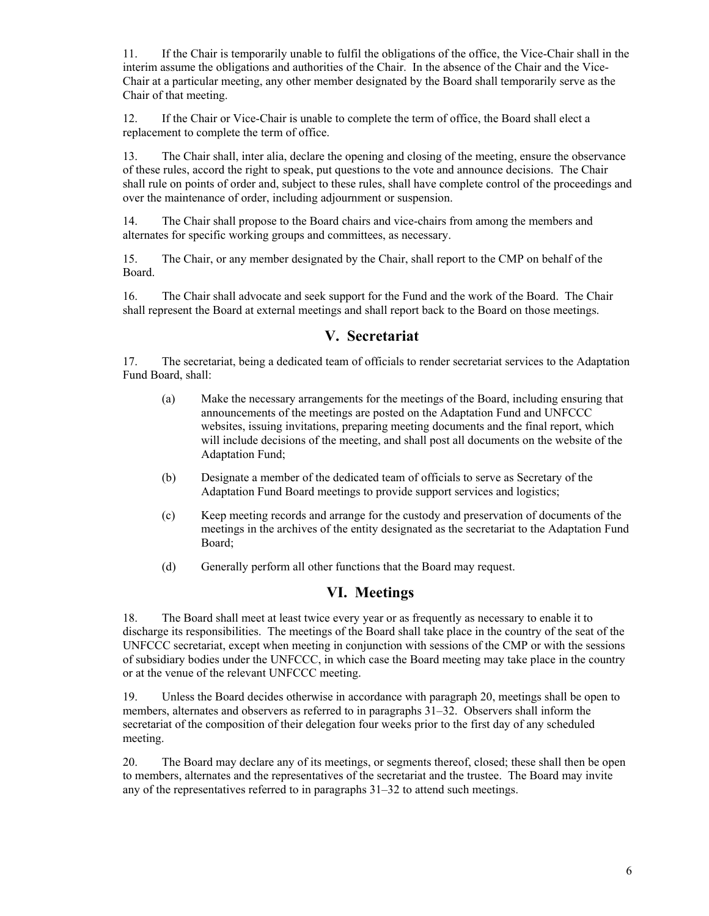11. If the Chair is temporarily unable to fulfil the obligations of the office, the Vice-Chair shall in the interim assume the obligations and authorities of the Chair. In the absence of the Chair and the Vice-Chair at a particular meeting, any other member designated by the Board shall temporarily serve as the Chair of that meeting.

12. If the Chair or Vice-Chair is unable to complete the term of office, the Board shall elect a replacement to complete the term of office.

13. The Chair shall, inter alia, declare the opening and closing of the meeting, ensure the observance of these rules, accord the right to speak, put questions to the vote and announce decisions. The Chair shall rule on points of order and, subject to these rules, shall have complete control of the proceedings and over the maintenance of order, including adjournment or suspension.

14. The Chair shall propose to the Board chairs and vice-chairs from among the members and alternates for specific working groups and committees, as necessary.

15. The Chair, or any member designated by the Chair, shall report to the CMP on behalf of the Board.

16. The Chair shall advocate and seek support for the Fund and the work of the Board. The Chair shall represent the Board at external meetings and shall report back to the Board on those meetings.

### **V. Secretariat**

17. The secretariat, being a dedicated team of officials to render secretariat services to the Adaptation Fund Board, shall:

- (a) Make the necessary arrangements for the meetings of the Board, including ensuring that announcements of the meetings are posted on the Adaptation Fund and UNFCCC websites, issuing invitations, preparing meeting documents and the final report, which will include decisions of the meeting, and shall post all documents on the website of the Adaptation Fund;
- (b) Designate a member of the dedicated team of officials to serve as Secretary of the Adaptation Fund Board meetings to provide support services and logistics;
- (c) Keep meeting records and arrange for the custody and preservation of documents of the meetings in the archives of the entity designated as the secretariat to the Adaptation Fund Board;
- (d) Generally perform all other functions that the Board may request.

### **VI. Meetings**

18. The Board shall meet at least twice every year or as frequently as necessary to enable it to discharge its responsibilities. The meetings of the Board shall take place in the country of the seat of the UNFCCC secretariat, except when meeting in conjunction with sessions of the CMP or with the sessions of subsidiary bodies under the UNFCCC, in which case the Board meeting may take place in the country or at the venue of the relevant UNFCCC meeting.

19. Unless the Board decides otherwise in accordance with paragraph 20, meetings shall be open to members, alternates and observers as referred to in paragraphs 31–32. Observers shall inform the secretariat of the composition of their delegation four weeks prior to the first day of any scheduled meeting.

20. The Board may declare any of its meetings, or segments thereof, closed; these shall then be open to members, alternates and the representatives of the secretariat and the trustee. The Board may invite any of the representatives referred to in paragraphs 31–32 to attend such meetings.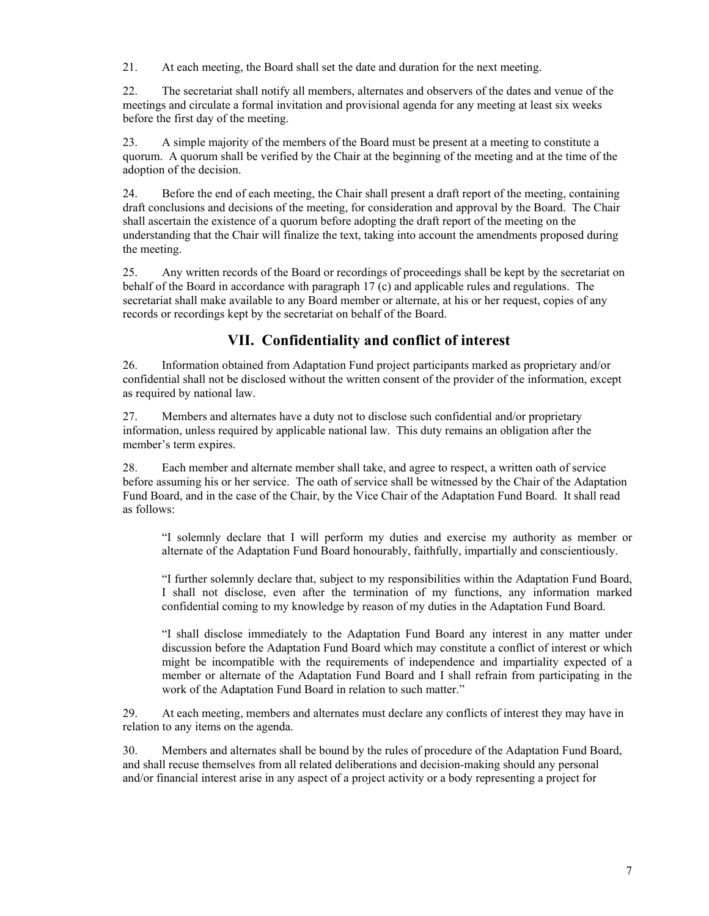21. At each meeting, the Board shall set the date and duration for the next meeting.

22. The secretariat shall notify all members, alternates and observers of the dates and venue of the meetings and circulate a formal invitation and provisional agenda for any meeting at least six weeks before the first day of the meeting.

23. A simple majority of the members of the Board must be present at a meeting to constitute a quorum. A quorum shall be verified by the Chair at the beginning of the meeting and at the time of the adoption of the decision.

24. Before the end of each meeting, the Chair shall present a draft report of the meeting, containing draft conclusions and decisions of the meeting, for consideration and approval by the Board. The Chair shall ascertain the existence of a quorum before adopting the draft report of the meeting on the understanding that the Chair will finalize the text, taking into account the amendments proposed during the meeting.

25. Any written records of the Board or recordings of proceedings shall be kept by the secretariat on behalf of the Board in accordance with paragraph 17 (c) and applicable rules and regulations. The secretariat shall make available to any Board member or alternate, at his or her request, copies of any records or recordings kept by the secretariat on behalf of the Board.

# **VII. Confidentiality and conflict of interest**

26. Information obtained from Adaptation Fund project participants marked as proprietary and/or confidential shall not be disclosed without the written consent of the provider of the information, except as required by national law.

27. Members and alternates have a duty not to disclose such confidential and/or proprietary information, unless required by applicable national law. This duty remains an obligation after the member's term expires.

28. Each member and alternate member shall take, and agree to respect, a written oath of service before assuming his or her service. The oath of service shall be witnessed by the Chair of the Adaptation Fund Board, and in the case of the Chair, by the Vice Chair of the Adaptation Fund Board. It shall read as follows:

"I solemnly declare that I will perform my duties and exercise my authority as member or alternate of the Adaptation Fund Board honourably, faithfully, impartially and conscientiously.

"I further solemnly declare that, subject to my responsibilities within the Adaptation Fund Board, I shall not disclose, even after the termination of my functions, any information marked confidential coming to my knowledge by reason of my duties in the Adaptation Fund Board.

"I shall disclose immediately to the Adaptation Fund Board any interest in any matter under discussion before the Adaptation Fund Board which may constitute a conflict of interest or which might be incompatible with the requirements of independence and impartiality expected of a member or alternate of the Adaptation Fund Board and I shall refrain from participating in the work of the Adaptation Fund Board in relation to such matter."

29. At each meeting, members and alternates must declare any conflicts of interest they may have in relation to any items on the agenda.

30. Members and alternates shall be bound by the rules of procedure of the Adaptation Fund Board, and shall recuse themselves from all related deliberations and decision-making should any personal and/or financial interest arise in any aspect of a project activity or a body representing a project for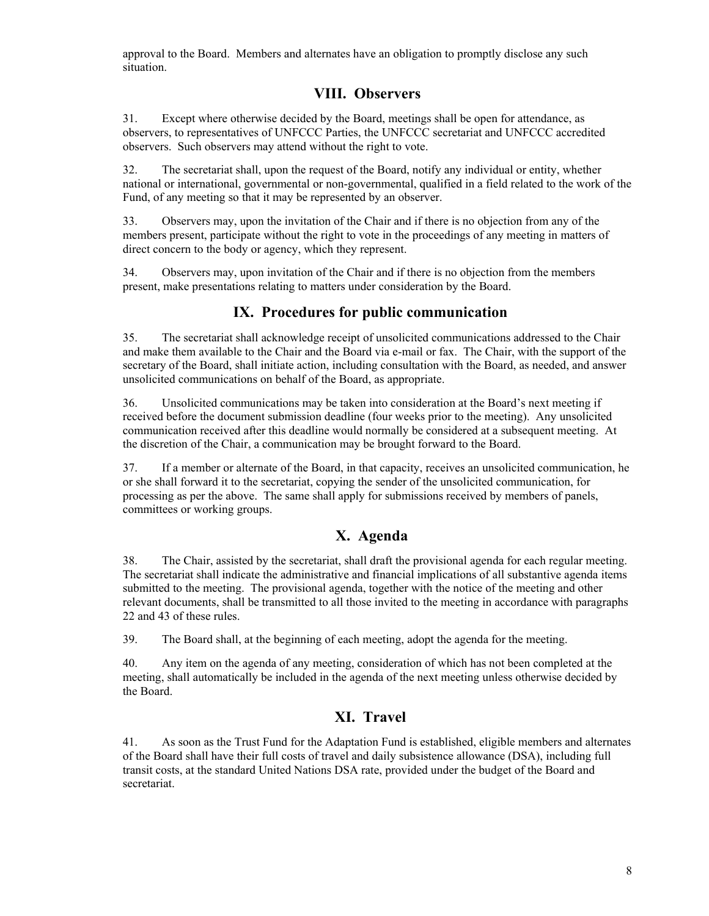approval to the Board. Members and alternates have an obligation to promptly disclose any such situation.

# **VIII. Observers**

31. Except where otherwise decided by the Board, meetings shall be open for attendance, as observers, to representatives of UNFCCC Parties, the UNFCCC secretariat and UNFCCC accredited observers. Such observers may attend without the right to vote.

32. The secretariat shall, upon the request of the Board, notify any individual or entity, whether national or international, governmental or non-governmental, qualified in a field related to the work of the Fund, of any meeting so that it may be represented by an observer.

33. Observers may, upon the invitation of the Chair and if there is no objection from any of the members present, participate without the right to vote in the proceedings of any meeting in matters of direct concern to the body or agency, which they represent.

34. Observers may, upon invitation of the Chair and if there is no objection from the members present, make presentations relating to matters under consideration by the Board.

# **IX. Procedures for public communication**

35. The secretariat shall acknowledge receipt of unsolicited communications addressed to the Chair and make them available to the Chair and the Board via e-mail or fax. The Chair, with the support of the secretary of the Board, shall initiate action, including consultation with the Board, as needed, and answer unsolicited communications on behalf of the Board, as appropriate.

36. Unsolicited communications may be taken into consideration at the Board's next meeting if received before the document submission deadline (four weeks prior to the meeting). Any unsolicited communication received after this deadline would normally be considered at a subsequent meeting. At the discretion of the Chair, a communication may be brought forward to the Board.

37. If a member or alternate of the Board, in that capacity, receives an unsolicited communication, he or she shall forward it to the secretariat, copying the sender of the unsolicited communication, for processing as per the above. The same shall apply for submissions received by members of panels, committees or working groups.

## **X. Agenda**

38. The Chair, assisted by the secretariat, shall draft the provisional agenda for each regular meeting. The secretariat shall indicate the administrative and financial implications of all substantive agenda items submitted to the meeting. The provisional agenda, together with the notice of the meeting and other relevant documents, shall be transmitted to all those invited to the meeting in accordance with paragraphs 22 and 43 of these rules.

39. The Board shall, at the beginning of each meeting, adopt the agenda for the meeting.

40. Any item on the agenda of any meeting, consideration of which has not been completed at the meeting, shall automatically be included in the agenda of the next meeting unless otherwise decided by the Board.

# **XI. Travel**

41. As soon as the Trust Fund for the Adaptation Fund is established, eligible members and alternates of the Board shall have their full costs of travel and daily subsistence allowance (DSA), including full transit costs, at the standard United Nations DSA rate, provided under the budget of the Board and secretariat.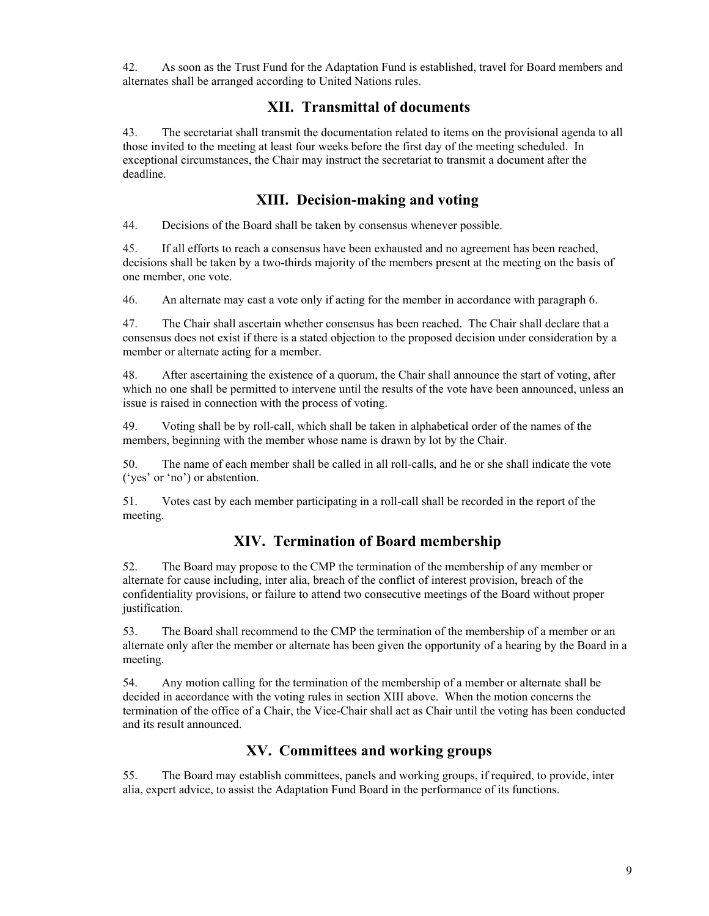42. As soon as the Trust Fund for the Adaptation Fund is established, travel for Board members and alternates shall be arranged according to United Nations rules.

## **XII. Transmittal of documents**

43. The secretariat shall transmit the documentation related to items on the provisional agenda to all those invited to the meeting at least four weeks before the first day of the meeting scheduled. In exceptional circumstances, the Chair may instruct the secretariat to transmit a document after the deadline.

# **XIII. Decision-making and voting**

44. Decisions of the Board shall be taken by consensus whenever possible.

45. If all efforts to reach a consensus have been exhausted and no agreement has been reached, decisions shall be taken by a two-thirds majority of the members present at the meeting on the basis of one member, one vote.

46. An alternate may cast a vote only if acting for the member in accordance with paragraph 6.

47. The Chair shall ascertain whether consensus has been reached. The Chair shall declare that a consensus does not exist if there is a stated objection to the proposed decision under consideration by a member or alternate acting for a member.

48. After ascertaining the existence of a quorum, the Chair shall announce the start of voting, after which no one shall be permitted to intervene until the results of the vote have been announced, unless an issue is raised in connection with the process of voting.

49. Voting shall be by roll-call, which shall be taken in alphabetical order of the names of the members, beginning with the member whose name is drawn by lot by the Chair.

50. The name of each member shall be called in all roll-calls, and he or she shall indicate the vote ('yes' or 'no') or abstention.

51. Votes cast by each member participating in a roll-call shall be recorded in the report of the meeting.

# **XIV. Termination of Board membership**

52. The Board may propose to the CMP the termination of the membership of any member or alternate for cause including, inter alia, breach of the conflict of interest provision, breach of the confidentiality provisions, or failure to attend two consecutive meetings of the Board without proper justification.

53. The Board shall recommend to the CMP the termination of the membership of a member or an alternate only after the member or alternate has been given the opportunity of a hearing by the Board in a meeting.

54. Any motion calling for the termination of the membership of a member or alternate shall be decided in accordance with the voting rules in section XIII above. When the motion concerns the termination of the office of a Chair, the Vice-Chair shall act as Chair until the voting has been conducted and its result announced.

# **XV. Committees and working groups**

55. The Board may establish committees, panels and working groups, if required, to provide, inter alia, expert advice, to assist the Adaptation Fund Board in the performance of its functions.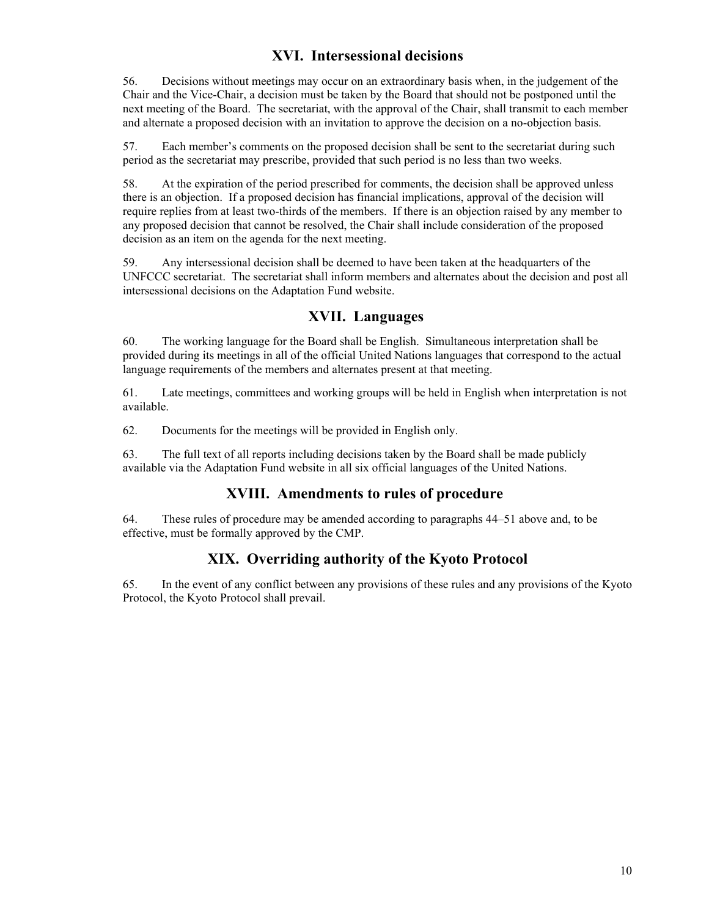# **XVI. Intersessional decisions**

56. Decisions without meetings may occur on an extraordinary basis when, in the judgement of the Chair and the Vice-Chair, a decision must be taken by the Board that should not be postponed until the next meeting of the Board. The secretariat, with the approval of the Chair, shall transmit to each member and alternate a proposed decision with an invitation to approve the decision on a no-objection basis.

57. Each member's comments on the proposed decision shall be sent to the secretariat during such period as the secretariat may prescribe, provided that such period is no less than two weeks.

58. At the expiration of the period prescribed for comments, the decision shall be approved unless there is an objection. If a proposed decision has financial implications, approval of the decision will require replies from at least two-thirds of the members. If there is an objection raised by any member to any proposed decision that cannot be resolved, the Chair shall include consideration of the proposed decision as an item on the agenda for the next meeting.

59. Any intersessional decision shall be deemed to have been taken at the headquarters of the UNFCCC secretariat. The secretariat shall inform members and alternates about the decision and post all intersessional decisions on the Adaptation Fund website.

## **XVII. Languages**

60. The working language for the Board shall be English. Simultaneous interpretation shall be provided during its meetings in all of the official United Nations languages that correspond to the actual language requirements of the members and alternates present at that meeting.

61. Late meetings, committees and working groups will be held in English when interpretation is not available.

62. Documents for the meetings will be provided in English only.

63. The full text of all reports including decisions taken by the Board shall be made publicly available via the Adaptation Fund website in all six official languages of the United Nations.

## **XVIII. Amendments to rules of procedure**

64. These rules of procedure may be amended according to paragraphs 44–51 above and, to be effective, must be formally approved by the CMP.

# **XIX. Overriding authority of the Kyoto Protocol**

65. In the event of any conflict between any provisions of these rules and any provisions of the Kyoto Protocol, the Kyoto Protocol shall prevail.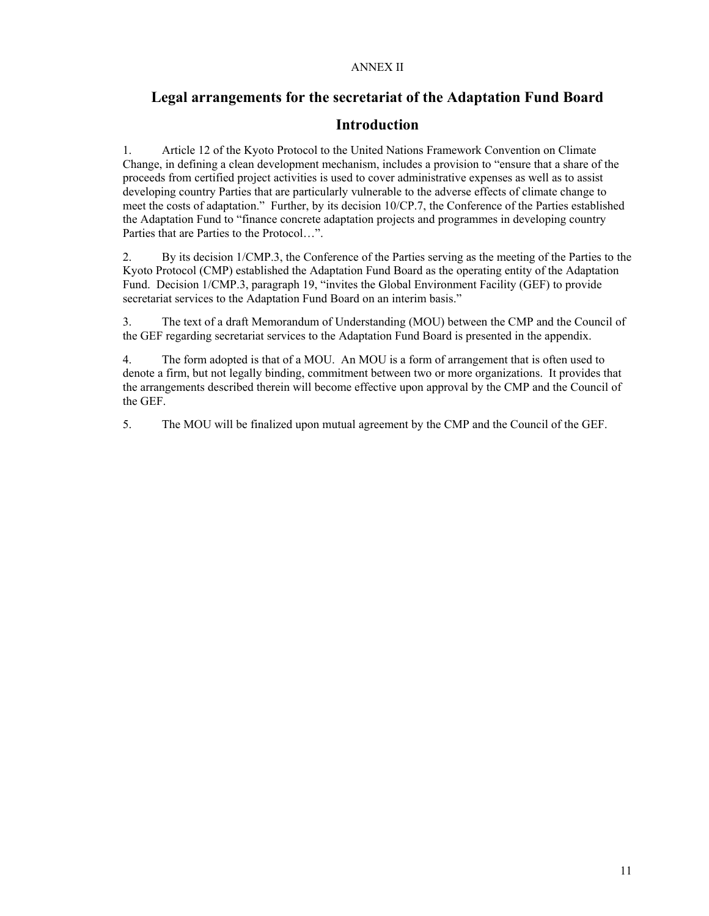#### ANNEX II

## **Legal arrangements for the secretariat of the Adaptation Fund Board**

## **Introduction**

1. Article 12 of the Kyoto Protocol to the United Nations Framework Convention on Climate Change, in defining a clean development mechanism, includes a provision to "ensure that a share of the proceeds from certified project activities is used to cover administrative expenses as well as to assist developing country Parties that are particularly vulnerable to the adverse effects of climate change to meet the costs of adaptation." Further, by its decision 10/CP.7, the Conference of the Parties established the Adaptation Fund to "finance concrete adaptation projects and programmes in developing country Parties that are Parties to the Protocol…".

2. By its decision 1/CMP.3, the Conference of the Parties serving as the meeting of the Parties to the Kyoto Protocol (CMP) established the Adaptation Fund Board as the operating entity of the Adaptation Fund. Decision 1/CMP.3, paragraph 19, "invites the Global Environment Facility (GEF) to provide secretariat services to the Adaptation Fund Board on an interim basis."

3. The text of a draft Memorandum of Understanding (MOU) between the CMP and the Council of the GEF regarding secretariat services to the Adaptation Fund Board is presented in the appendix.

4. The form adopted is that of a MOU. An MOU is a form of arrangement that is often used to denote a firm, but not legally binding, commitment between two or more organizations. It provides that the arrangements described therein will become effective upon approval by the CMP and the Council of the GEF.

5. The MOU will be finalized upon mutual agreement by the CMP and the Council of the GEF.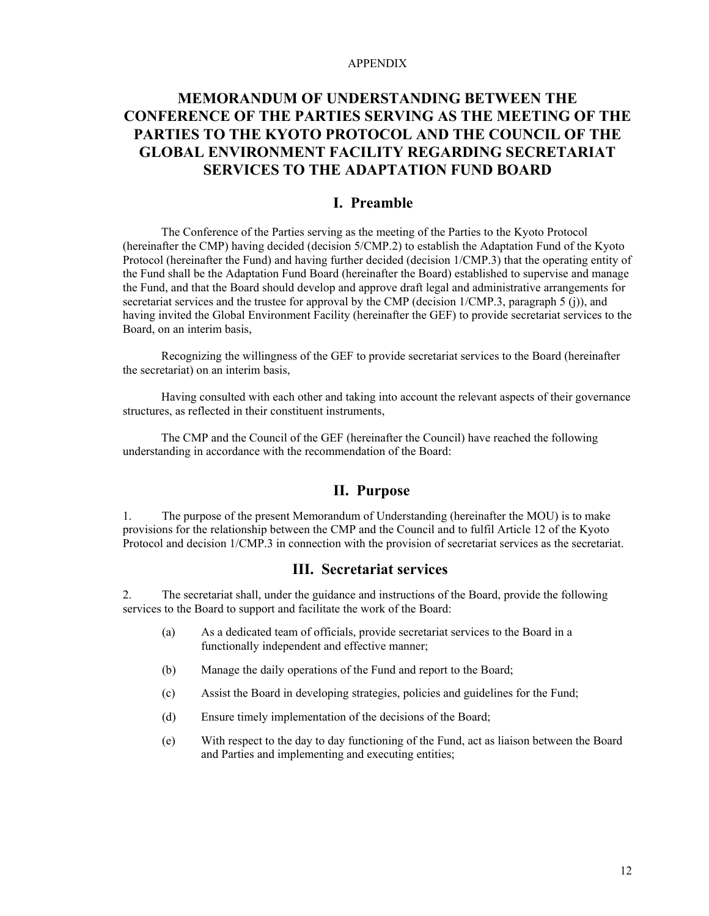#### APPENDIX

# **MEMORANDUM OF UNDERSTANDING BETWEEN THE CONFERENCE OF THE PARTIES SERVING AS THE MEETING OF THE PARTIES TO THE KYOTO PROTOCOL AND THE COUNCIL OF THE GLOBAL ENVIRONMENT FACILITY REGARDING SECRETARIAT SERVICES TO THE ADAPTATION FUND BOARD**

### **I. Preamble**

The Conference of the Parties serving as the meeting of the Parties to the Kyoto Protocol (hereinafter the CMP) having decided (decision 5/CMP.2) to establish the Adaptation Fund of the Kyoto Protocol (hereinafter the Fund) and having further decided (decision 1/CMP.3) that the operating entity of the Fund shall be the Adaptation Fund Board (hereinafter the Board) established to supervise and manage the Fund, and that the Board should develop and approve draft legal and administrative arrangements for secretariat services and the trustee for approval by the CMP (decision 1/CMP.3, paragraph 5 (j)), and having invited the Global Environment Facility (hereinafter the GEF) to provide secretariat services to the Board, on an interim basis,

Recognizing the willingness of the GEF to provide secretariat services to the Board (hereinafter the secretariat) on an interim basis,

Having consulted with each other and taking into account the relevant aspects of their governance structures, as reflected in their constituent instruments,

The CMP and the Council of the GEF (hereinafter the Council) have reached the following understanding in accordance with the recommendation of the Board:

### **II. Purpose**

1. The purpose of the present Memorandum of Understanding (hereinafter the MOU) is to make provisions for the relationship between the CMP and the Council and to fulfil Article 12 of the Kyoto Protocol and decision  $1/CMP.3$  in connection with the provision of secretariat services as the secretariat.

### **III. Secretariat services**

2. The secretariat shall, under the guidance and instructions of the Board, provide the following services to the Board to support and facilitate the work of the Board:

- (a) As a dedicated team of officials, provide secretariat services to the Board in a functionally independent and effective manner;
- (b) Manage the daily operations of the Fund and report to the Board;
- (c) Assist the Board in developing strategies, policies and guidelines for the Fund;
- (d) Ensure timely implementation of the decisions of the Board;
- (e) With respect to the day to day functioning of the Fund, act as liaison between the Board and Parties and implementing and executing entities;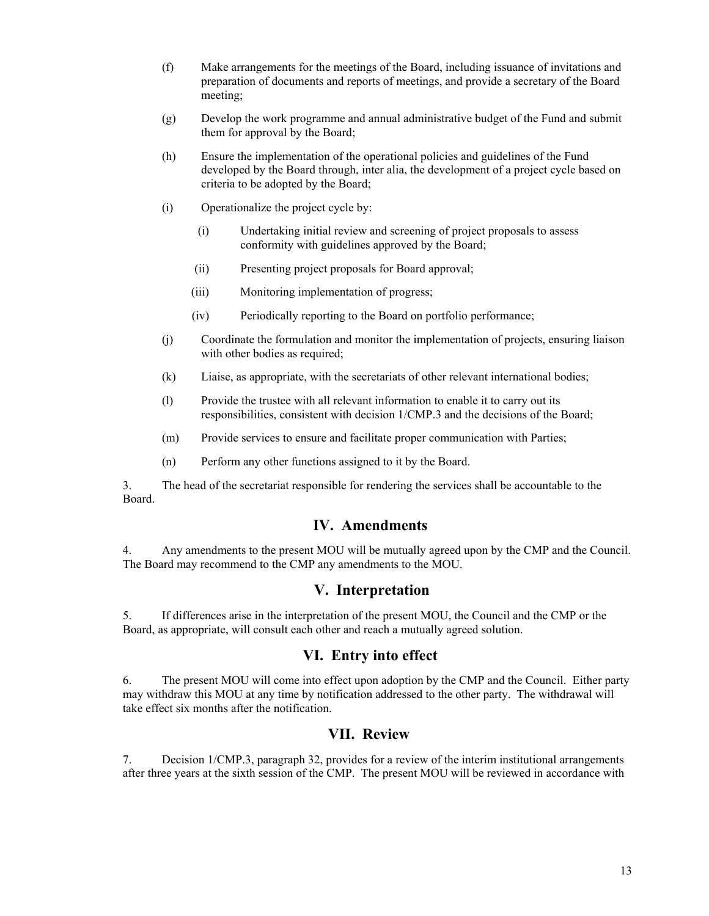- (f) Make arrangements for the meetings of the Board, including issuance of invitations and preparation of documents and reports of meetings, and provide a secretary of the Board meeting;
- (g) Develop the work programme and annual administrative budget of the Fund and submit them for approval by the Board;
- (h) Ensure the implementation of the operational policies and guidelines of the Fund developed by the Board through, inter alia, the development of a project cycle based on criteria to be adopted by the Board;
- (i) Operationalize the project cycle by:
	- (i) Undertaking initial review and screening of project proposals to assess conformity with guidelines approved by the Board;
	- (ii) Presenting project proposals for Board approval;
	- (iii) Monitoring implementation of progress;
	- (iv) Periodically reporting to the Board on portfolio performance;
- (j) Coordinate the formulation and monitor the implementation of projects, ensuring liaison with other bodies as required;
- (k) Liaise, as appropriate, with the secretariats of other relevant international bodies;
- (l) Provide the trustee with all relevant information to enable it to carry out its responsibilities, consistent with decision 1/CMP.3 and the decisions of the Board;
- (m) Provide services to ensure and facilitate proper communication with Parties;
- (n) Perform any other functions assigned to it by the Board.

3. The head of the secretariat responsible for rendering the services shall be accountable to the Board.

### **IV. Amendments**

4. Any amendments to the present MOU will be mutually agreed upon by the CMP and the Council. The Board may recommend to the CMP any amendments to the MOU.

#### **V. Interpretation**

5. If differences arise in the interpretation of the present MOU, the Council and the CMP or the Board, as appropriate, will consult each other and reach a mutually agreed solution.

### **VI. Entry into effect**

6. The present MOU will come into effect upon adoption by the CMP and the Council. Either party may withdraw this MOU at any time by notification addressed to the other party. The withdrawal will take effect six months after the notification.

### **VII. Review**

7. Decision 1/CMP.3, paragraph 32, provides for a review of the interim institutional arrangements after three years at the sixth session of the CMP. The present MOU will be reviewed in accordance with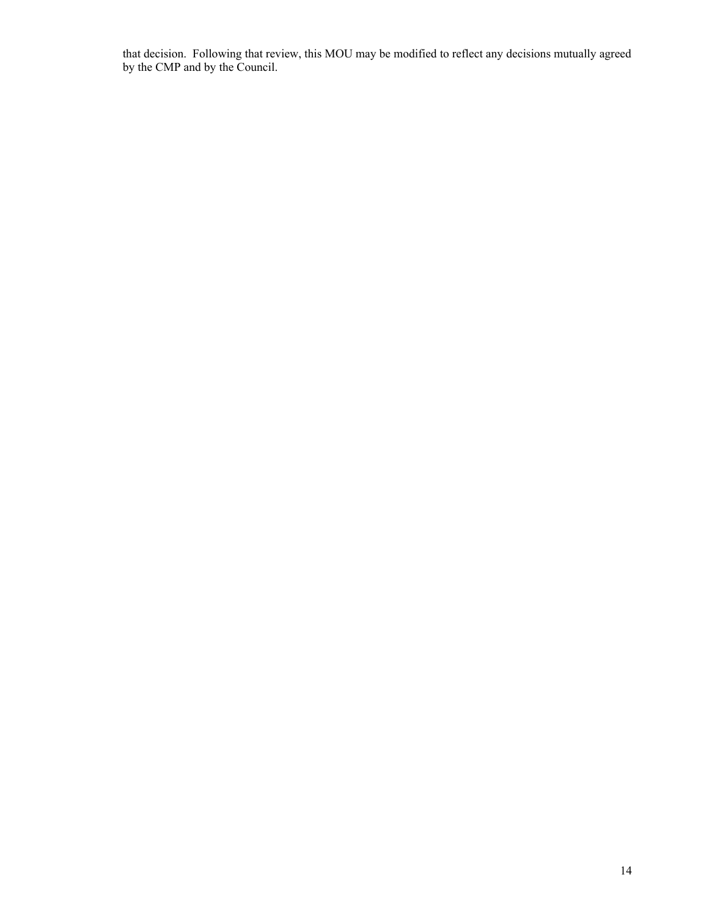that decision. Following that review, this MOU may be modified to reflect any decisions mutually agreed by the CMP and by the Council.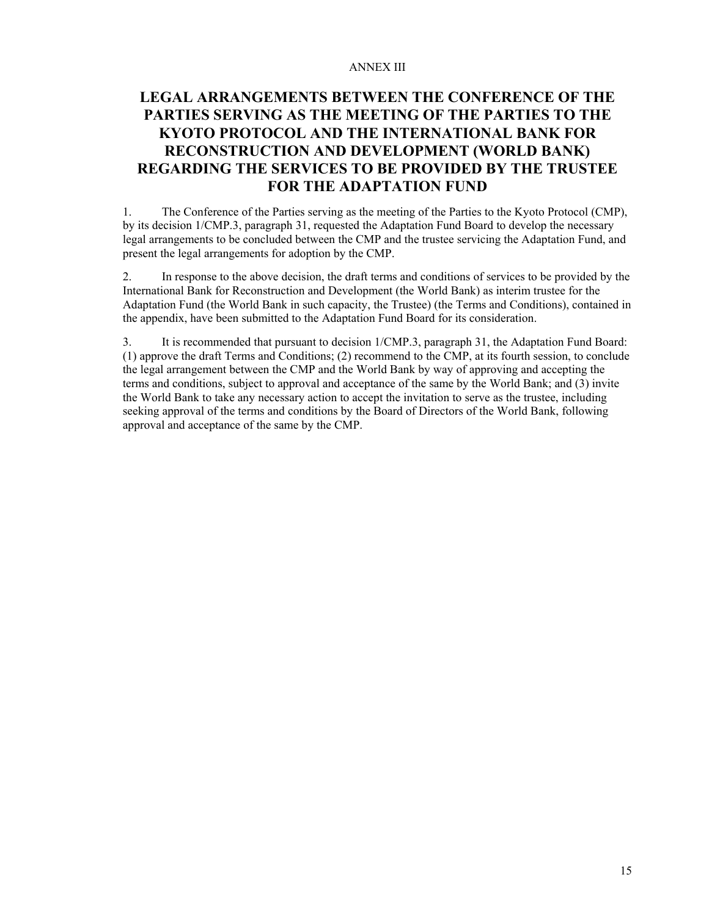#### ANNEX III

# **LEGAL ARRANGEMENTS BETWEEN THE CONFERENCE OF THE PARTIES SERVING AS THE MEETING OF THE PARTIES TO THE KYOTO PROTOCOL AND THE INTERNATIONAL BANK FOR RECONSTRUCTION AND DEVELOPMENT (WORLD BANK) REGARDING THE SERVICES TO BE PROVIDED BY THE TRUSTEE FOR THE ADAPTATION FUND**

1. The Conference of the Parties serving as the meeting of the Parties to the Kyoto Protocol (CMP), by its decision 1/CMP.3, paragraph 31, requested the Adaptation Fund Board to develop the necessary legal arrangements to be concluded between the CMP and the trustee servicing the Adaptation Fund, and present the legal arrangements for adoption by the CMP.

2. In response to the above decision, the draft terms and conditions of services to be provided by the International Bank for Reconstruction and Development (the World Bank) as interim trustee for the Adaptation Fund (the World Bank in such capacity, the Trustee) (the Terms and Conditions), contained in the appendix, have been submitted to the Adaptation Fund Board for its consideration.

3. It is recommended that pursuant to decision 1/CMP.3, paragraph 31, the Adaptation Fund Board: (1) approve the draft Terms and Conditions; (2) recommend to the CMP, at its fourth session, to conclude the legal arrangement between the CMP and the World Bank by way of approving and accepting the terms and conditions, subject to approval and acceptance of the same by the World Bank; and (3) invite the World Bank to take any necessary action to accept the invitation to serve as the trustee, including seeking approval of the terms and conditions by the Board of Directors of the World Bank, following approval and acceptance of the same by the CMP.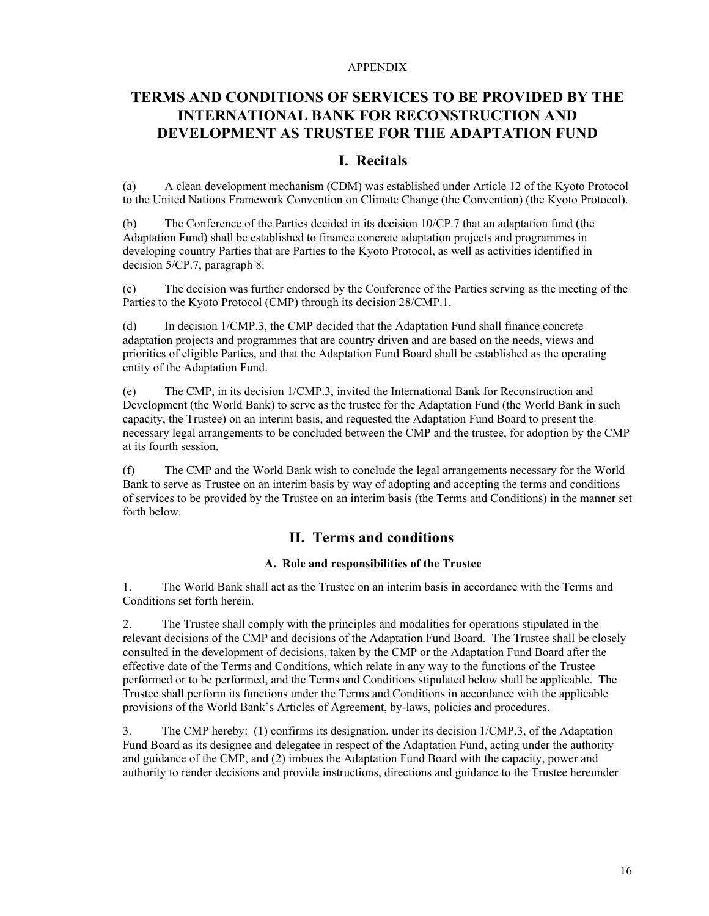#### APPENDIX

# **TERMS AND CONDITIONS OF SERVICES TO BE PROVIDED BY THE INTERNATIONAL BANK FOR RECONSTRUCTION AND DEVELOPMENT AS TRUSTEE FOR THE ADAPTATION FUND**

## **I. Recitals**

(a) A clean development mechanism (CDM) was established under Article 12 of the Kyoto Protocol to the United Nations Framework Convention on Climate Change (the Convention) (the Kyoto Protocol).

(b) The Conference of the Parties decided in its decision 10/CP.7 that an adaptation fund (the Adaptation Fund) shall be established to finance concrete adaptation projects and programmes in developing country Parties that are Parties to the Kyoto Protocol, as well as activities identified in decision 5/CP.7, paragraph 8.

(c) The decision was further endorsed by the Conference of the Parties serving as the meeting of the Parties to the Kyoto Protocol (CMP) through its decision 28/CMP.1.

(d) In decision 1/CMP.3, the CMP decided that the Adaptation Fund shall finance concrete adaptation projects and programmes that are country driven and are based on the needs, views and priorities of eligible Parties, and that the Adaptation Fund Board shall be established as the operating entity of the Adaptation Fund.

(e) The CMP, in its decision 1/CMP.3, invited the International Bank for Reconstruction and Development (the World Bank) to serve as the trustee for the Adaptation Fund (the World Bank in such capacity, the Trustee) on an interim basis, and requested the Adaptation Fund Board to present the necessary legal arrangements to be concluded between the CMP and the trustee, for adoption by the CMP at its fourth session.

(f) The CMP and the World Bank wish to conclude the legal arrangements necessary for the World Bank to serve as Trustee on an interim basis by way of adopting and accepting the terms and conditions of services to be provided by the Trustee on an interim basis (the Terms and Conditions) in the manner set forth below.

### **II. Terms and conditions**

#### **A. Role and responsibilities of the Trustee**

1. The World Bank shall act as the Trustee on an interim basis in accordance with the Terms and Conditions set forth herein.

2. The Trustee shall comply with the principles and modalities for operations stipulated in the relevant decisions of the CMP and decisions of the Adaptation Fund Board. The Trustee shall be closely consulted in the development of decisions, taken by the CMP or the Adaptation Fund Board after the effective date of the Terms and Conditions, which relate in any way to the functions of the Trustee performed or to be performed, and the Terms and Conditions stipulated below shall be applicable. The Trustee shall perform its functions under the Terms and Conditions in accordance with the applicable provisions of the World Bank's Articles of Agreement, by-laws, policies and procedures.

3. The CMP hereby: (1) confirms its designation, under its decision 1/CMP.3, of the Adaptation Fund Board as its designee and delegatee in respect of the Adaptation Fund, acting under the authority and guidance of the CMP, and (2) imbues the Adaptation Fund Board with the capacity, power and authority to render decisions and provide instructions, directions and guidance to the Trustee hereunder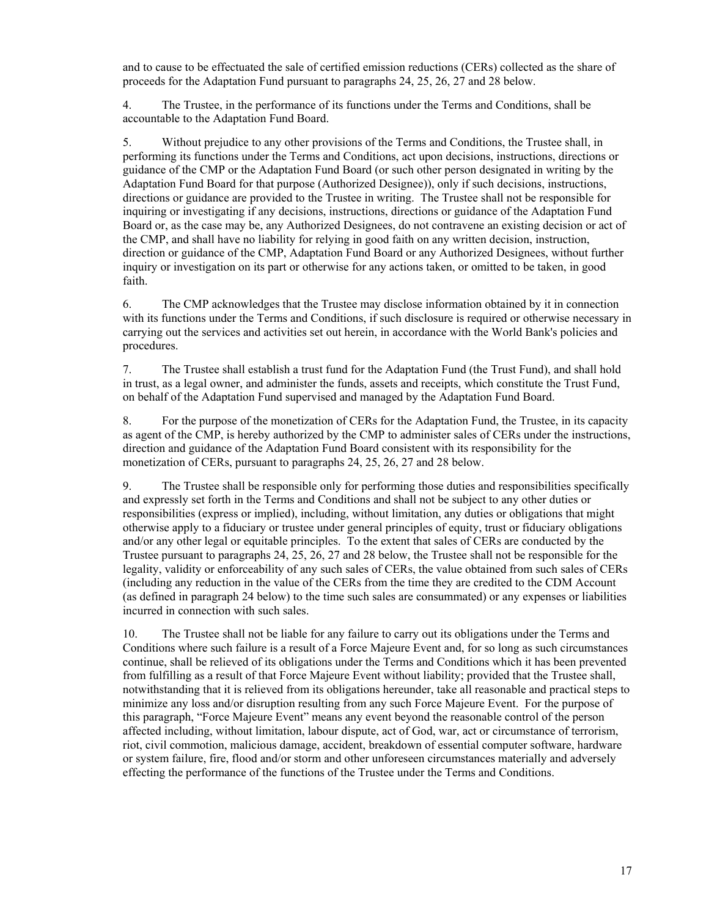and to cause to be effectuated the sale of certified emission reductions (CERs) collected as the share of proceeds for the Adaptation Fund pursuant to paragraphs 24, 25, 26, 27 and 28 below.

4. The Trustee, in the performance of its functions under the Terms and Conditions, shall be accountable to the Adaptation Fund Board.

5. Without prejudice to any other provisions of the Terms and Conditions, the Trustee shall, in performing its functions under the Terms and Conditions, act upon decisions, instructions, directions or guidance of the CMP or the Adaptation Fund Board (or such other person designated in writing by the Adaptation Fund Board for that purpose (Authorized Designee)), only if such decisions, instructions, directions or guidance are provided to the Trustee in writing. The Trustee shall not be responsible for inquiring or investigating if any decisions, instructions, directions or guidance of the Adaptation Fund Board or, as the case may be, any Authorized Designees, do not contravene an existing decision or act of the CMP, and shall have no liability for relying in good faith on any written decision, instruction, direction or guidance of the CMP, Adaptation Fund Board or any Authorized Designees, without further inquiry or investigation on its part or otherwise for any actions taken, or omitted to be taken, in good faith.

6. The CMP acknowledges that the Trustee may disclose information obtained by it in connection with its functions under the Terms and Conditions, if such disclosure is required or otherwise necessary in carrying out the services and activities set out herein, in accordance with the World Bank's policies and procedures.

7. The Trustee shall establish a trust fund for the Adaptation Fund (the Trust Fund), and shall hold in trust, as a legal owner, and administer the funds, assets and receipts, which constitute the Trust Fund, on behalf of the Adaptation Fund supervised and managed by the Adaptation Fund Board.

8. For the purpose of the monetization of CERs for the Adaptation Fund, the Trustee, in its capacity as agent of the CMP, is hereby authorized by the CMP to administer sales of CERs under the instructions, direction and guidance of the Adaptation Fund Board consistent with its responsibility for the monetization of CERs, pursuant to paragraphs 24, 25, 26, 27 and 28 below.

9. The Trustee shall be responsible only for performing those duties and responsibilities specifically and expressly set forth in the Terms and Conditions and shall not be subject to any other duties or responsibilities (express or implied), including, without limitation, any duties or obligations that might otherwise apply to a fiduciary or trustee under general principles of equity, trust or fiduciary obligations and/or any other legal or equitable principles. To the extent that sales of CERs are conducted by the Trustee pursuant to paragraphs 24, 25, 26, 27 and 28 below, the Trustee shall not be responsible for the legality, validity or enforceability of any such sales of CERs, the value obtained from such sales of CERs (including any reduction in the value of the CERs from the time they are credited to the CDM Account (as defined in paragraph 24 below) to the time such sales are consummated) or any expenses or liabilities incurred in connection with such sales.

10. The Trustee shall not be liable for any failure to carry out its obligations under the Terms and Conditions where such failure is a result of a Force Majeure Event and, for so long as such circumstances continue, shall be relieved of its obligations under the Terms and Conditions which it has been prevented from fulfilling as a result of that Force Majeure Event without liability; provided that the Trustee shall, notwithstanding that it is relieved from its obligations hereunder, take all reasonable and practical steps to minimize any loss and/or disruption resulting from any such Force Majeure Event. For the purpose of this paragraph, "Force Majeure Event" means any event beyond the reasonable control of the person affected including, without limitation, labour dispute, act of God, war, act or circumstance of terrorism, riot, civil commotion, malicious damage, accident, breakdown of essential computer software, hardware or system failure, fire, flood and/or storm and other unforeseen circumstances materially and adversely effecting the performance of the functions of the Trustee under the Terms and Conditions.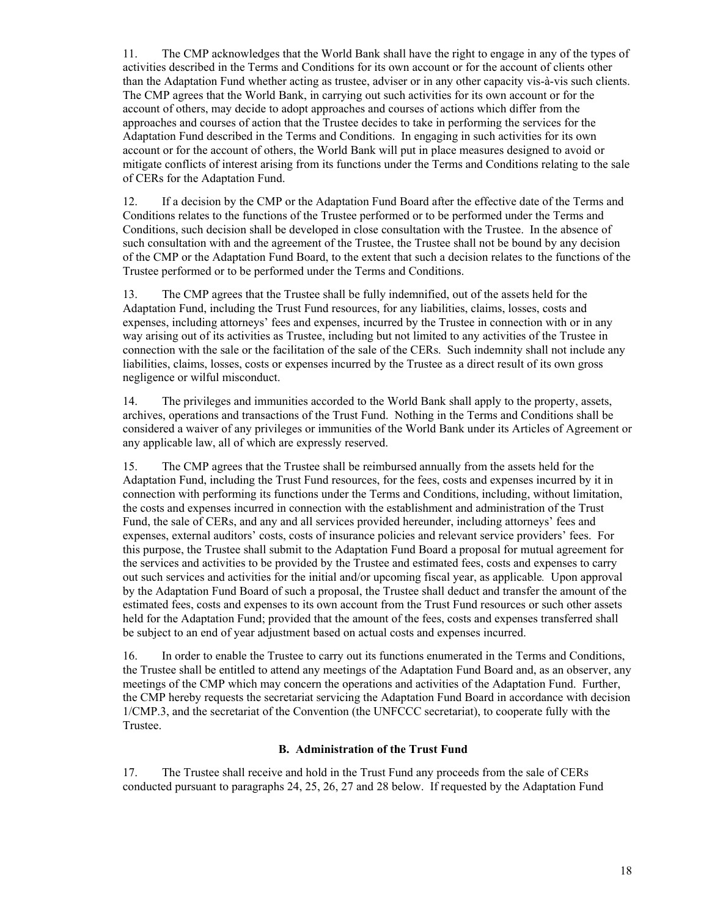11. The CMP acknowledges that the World Bank shall have the right to engage in any of the types of activities described in the Terms and Conditions for its own account or for the account of clients other than the Adaptation Fund whether acting as trustee, adviser or in any other capacity vis-à-vis such clients. The CMP agrees that the World Bank, in carrying out such activities for its own account or for the account of others, may decide to adopt approaches and courses of actions which differ from the approaches and courses of action that the Trustee decides to take in performing the services for the Adaptation Fund described in the Terms and Conditions. In engaging in such activities for its own account or for the account of others, the World Bank will put in place measures designed to avoid or mitigate conflicts of interest arising from its functions under the Terms and Conditions relating to the sale of CERs for the Adaptation Fund.

12. If a decision by the CMP or the Adaptation Fund Board after the effective date of the Terms and Conditions relates to the functions of the Trustee performed or to be performed under the Terms and Conditions, such decision shall be developed in close consultation with the Trustee. In the absence of such consultation with and the agreement of the Trustee, the Trustee shall not be bound by any decision of the CMP or the Adaptation Fund Board, to the extent that such a decision relates to the functions of the Trustee performed or to be performed under the Terms and Conditions.

13. The CMP agrees that the Trustee shall be fully indemnified, out of the assets held for the Adaptation Fund, including the Trust Fund resources, for any liabilities, claims, losses, costs and expenses, including attorneys' fees and expenses, incurred by the Trustee in connection with or in any way arising out of its activities as Trustee, including but not limited to any activities of the Trustee in connection with the sale or the facilitation of the sale of the CERs. Such indemnity shall not include any liabilities, claims, losses, costs or expenses incurred by the Trustee as a direct result of its own gross negligence or wilful misconduct.

14. The privileges and immunities accorded to the World Bank shall apply to the property, assets, archives, operations and transactions of the Trust Fund. Nothing in the Terms and Conditions shall be considered a waiver of any privileges or immunities of the World Bank under its Articles of Agreement or any applicable law, all of which are expressly reserved.

15. The CMP agrees that the Trustee shall be reimbursed annually from the assets held for the Adaptation Fund, including the Trust Fund resources, for the fees, costs and expenses incurred by it in connection with performing its functions under the Terms and Conditions, including, without limitation, the costs and expenses incurred in connection with the establishment and administration of the Trust Fund, the sale of CERs, and any and all services provided hereunder, including attorneys' fees and expenses, external auditors' costs, costs of insurance policies and relevant service providers' fees. For this purpose, the Trustee shall submit to the Adaptation Fund Board a proposal for mutual agreement for the services and activities to be provided by the Trustee and estimated fees, costs and expenses to carry out such services and activities for the initial and/or upcoming fiscal year, as applicable*.* Upon approval by the Adaptation Fund Board of such a proposal, the Trustee shall deduct and transfer the amount of the estimated fees, costs and expenses to its own account from the Trust Fund resources or such other assets held for the Adaptation Fund; provided that the amount of the fees, costs and expenses transferred shall be subject to an end of year adjustment based on actual costs and expenses incurred.

16. In order to enable the Trustee to carry out its functions enumerated in the Terms and Conditions, the Trustee shall be entitled to attend any meetings of the Adaptation Fund Board and, as an observer, any meetings of the CMP which may concern the operations and activities of the Adaptation Fund. Further, the CMP hereby requests the secretariat servicing the Adaptation Fund Board in accordance with decision 1/CMP.3, and the secretariat of the Convention (the UNFCCC secretariat), to cooperate fully with the Trustee.

#### **B. Administration of the Trust Fund**

17. The Trustee shall receive and hold in the Trust Fund any proceeds from the sale of CERs conducted pursuant to paragraphs 24, 25, 26, 27 and 28 below. If requested by the Adaptation Fund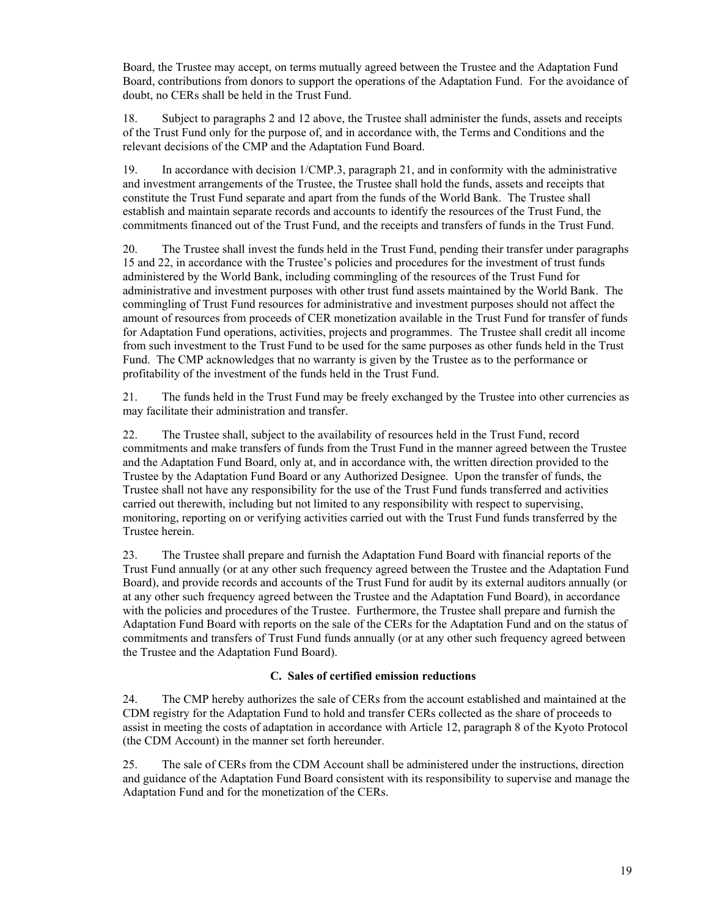Board, the Trustee may accept, on terms mutually agreed between the Trustee and the Adaptation Fund Board, contributions from donors to support the operations of the Adaptation Fund. For the avoidance of doubt, no CERs shall be held in the Trust Fund.

18. Subject to paragraphs 2 and 12 above, the Trustee shall administer the funds, assets and receipts of the Trust Fund only for the purpose of, and in accordance with, the Terms and Conditions and the relevant decisions of the CMP and the Adaptation Fund Board.

19. In accordance with decision 1/CMP.3, paragraph 21, and in conformity with the administrative and investment arrangements of the Trustee, the Trustee shall hold the funds, assets and receipts that constitute the Trust Fund separate and apart from the funds of the World Bank. The Trustee shall establish and maintain separate records and accounts to identify the resources of the Trust Fund, the commitments financed out of the Trust Fund, and the receipts and transfers of funds in the Trust Fund.

20. The Trustee shall invest the funds held in the Trust Fund, pending their transfer under paragraphs 15 and 22, in accordance with the Trustee's policies and procedures for the investment of trust funds administered by the World Bank, including commingling of the resources of the Trust Fund for administrative and investment purposes with other trust fund assets maintained by the World Bank. The commingling of Trust Fund resources for administrative and investment purposes should not affect the amount of resources from proceeds of CER monetization available in the Trust Fund for transfer of funds for Adaptation Fund operations, activities, projects and programmes. The Trustee shall credit all income from such investment to the Trust Fund to be used for the same purposes as other funds held in the Trust Fund. The CMP acknowledges that no warranty is given by the Trustee as to the performance or profitability of the investment of the funds held in the Trust Fund.

21. The funds held in the Trust Fund may be freely exchanged by the Trustee into other currencies as may facilitate their administration and transfer.

22. The Trustee shall, subject to the availability of resources held in the Trust Fund, record commitments and make transfers of funds from the Trust Fund in the manner agreed between the Trustee and the Adaptation Fund Board, only at, and in accordance with, the written direction provided to the Trustee by the Adaptation Fund Board or any Authorized Designee. Upon the transfer of funds, the Trustee shall not have any responsibility for the use of the Trust Fund funds transferred and activities carried out therewith, including but not limited to any responsibility with respect to supervising, monitoring, reporting on or verifying activities carried out with the Trust Fund funds transferred by the Trustee herein.

23. The Trustee shall prepare and furnish the Adaptation Fund Board with financial reports of the Trust Fund annually (or at any other such frequency agreed between the Trustee and the Adaptation Fund Board), and provide records and accounts of the Trust Fund for audit by its external auditors annually (or at any other such frequency agreed between the Trustee and the Adaptation Fund Board), in accordance with the policies and procedures of the Trustee. Furthermore, the Trustee shall prepare and furnish the Adaptation Fund Board with reports on the sale of the CERs for the Adaptation Fund and on the status of commitments and transfers of Trust Fund funds annually (or at any other such frequency agreed between the Trustee and the Adaptation Fund Board).

#### **C. Sales of certified emission reductions**

24. The CMP hereby authorizes the sale of CERs from the account established and maintained at the CDM registry for the Adaptation Fund to hold and transfer CERs collected as the share of proceeds to assist in meeting the costs of adaptation in accordance with Article 12, paragraph 8 of the Kyoto Protocol (the CDM Account) in the manner set forth hereunder.

25. The sale of CERs from the CDM Account shall be administered under the instructions, direction and guidance of the Adaptation Fund Board consistent with its responsibility to supervise and manage the Adaptation Fund and for the monetization of the CERs.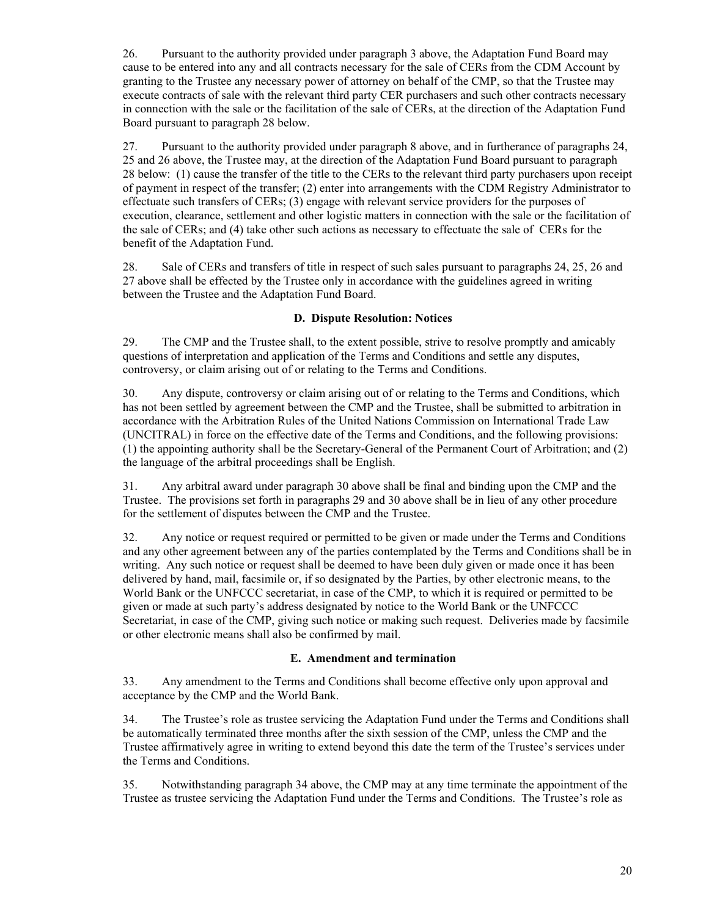26. Pursuant to the authority provided under paragraph 3 above, the Adaptation Fund Board may cause to be entered into any and all contracts necessary for the sale of CERs from the CDM Account by granting to the Trustee any necessary power of attorney on behalf of the CMP, so that the Trustee may execute contracts of sale with the relevant third party CER purchasers and such other contracts necessary in connection with the sale or the facilitation of the sale of CERs, at the direction of the Adaptation Fund Board pursuant to paragraph 28 below.

27. Pursuant to the authority provided under paragraph 8 above, and in furtherance of paragraphs 24, 25 and 26 above, the Trustee may, at the direction of the Adaptation Fund Board pursuant to paragraph 28 below: (1) cause the transfer of the title to the CERs to the relevant third party purchasers upon receipt of payment in respect of the transfer; (2) enter into arrangements with the CDM Registry Administrator to effectuate such transfers of CERs; (3) engage with relevant service providers for the purposes of execution, clearance, settlement and other logistic matters in connection with the sale or the facilitation of the sale of CERs; and (4) take other such actions as necessary to effectuate the sale of CERs for the benefit of the Adaptation Fund.

28. Sale of CERs and transfers of title in respect of such sales pursuant to paragraphs 24, 25, 26 and 27 above shall be effected by the Trustee only in accordance with the guidelines agreed in writing between the Trustee and the Adaptation Fund Board.

#### **D. Dispute Resolution: Notices**

29. The CMP and the Trustee shall, to the extent possible, strive to resolve promptly and amicably questions of interpretation and application of the Terms and Conditions and settle any disputes, controversy, or claim arising out of or relating to the Terms and Conditions.

30. Any dispute, controversy or claim arising out of or relating to the Terms and Conditions, which has not been settled by agreement between the CMP and the Trustee, shall be submitted to arbitration in accordance with the Arbitration Rules of the United Nations Commission on International Trade Law (UNCITRAL) in force on the effective date of the Terms and Conditions, and the following provisions: (1) the appointing authority shall be the Secretary-General of the Permanent Court of Arbitration; and (2) the language of the arbitral proceedings shall be English.

31. Any arbitral award under paragraph 30 above shall be final and binding upon the CMP and the Trustee. The provisions set forth in paragraphs 29 and 30 above shall be in lieu of any other procedure for the settlement of disputes between the CMP and the Trustee.

32. Any notice or request required or permitted to be given or made under the Terms and Conditions and any other agreement between any of the parties contemplated by the Terms and Conditions shall be in writing. Any such notice or request shall be deemed to have been duly given or made once it has been delivered by hand, mail, facsimile or, if so designated by the Parties, by other electronic means, to the World Bank or the UNFCCC secretariat, in case of the CMP, to which it is required or permitted to be given or made at such party's address designated by notice to the World Bank or the UNFCCC Secretariat, in case of the CMP, giving such notice or making such request. Deliveries made by facsimile or other electronic means shall also be confirmed by mail.

#### **E. Amendment and termination**

33. Any amendment to the Terms and Conditions shall become effective only upon approval and acceptance by the CMP and the World Bank.

34. The Trustee's role as trustee servicing the Adaptation Fund under the Terms and Conditions shall be automatically terminated three months after the sixth session of the CMP, unless the CMP and the Trustee affirmatively agree in writing to extend beyond this date the term of the Trustee's services under the Terms and Conditions.

35. Notwithstanding paragraph 34 above, the CMP may at any time terminate the appointment of the Trustee as trustee servicing the Adaptation Fund under the Terms and Conditions. The Trustee's role as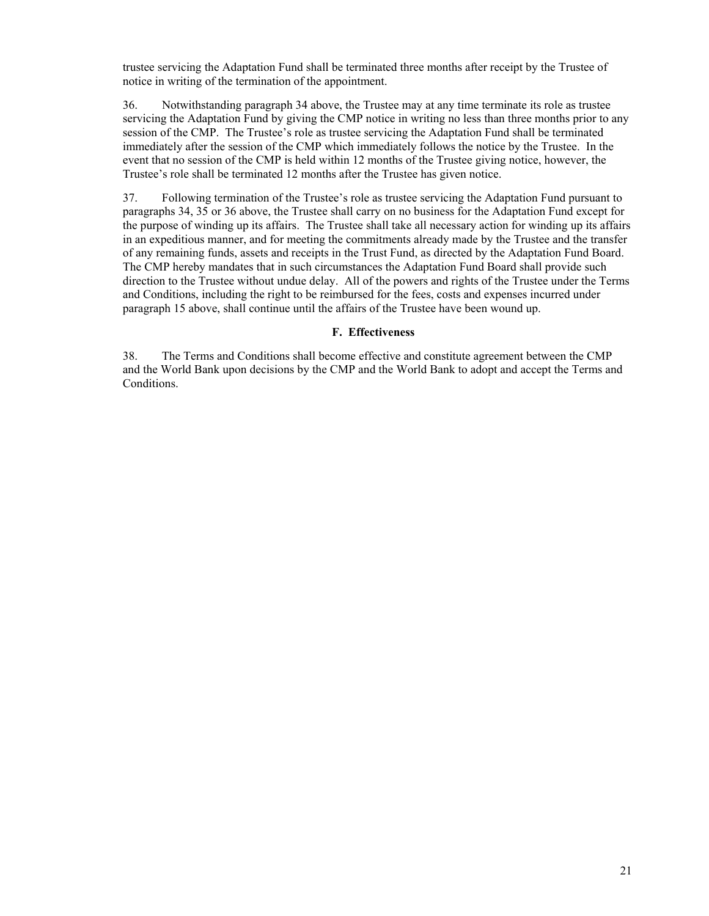trustee servicing the Adaptation Fund shall be terminated three months after receipt by the Trustee of notice in writing of the termination of the appointment.

36. Notwithstanding paragraph 34 above, the Trustee may at any time terminate its role as trustee servicing the Adaptation Fund by giving the CMP notice in writing no less than three months prior to any session of the CMP. The Trustee's role as trustee servicing the Adaptation Fund shall be terminated immediately after the session of the CMP which immediately follows the notice by the Trustee. In the event that no session of the CMP is held within 12 months of the Trustee giving notice, however, the Trustee's role shall be terminated 12 months after the Trustee has given notice.

37. Following termination of the Trustee's role as trustee servicing the Adaptation Fund pursuant to paragraphs 34, 35 or 36 above, the Trustee shall carry on no business for the Adaptation Fund except for the purpose of winding up its affairs. The Trustee shall take all necessary action for winding up its affairs in an expeditious manner, and for meeting the commitments already made by the Trustee and the transfer of any remaining funds, assets and receipts in the Trust Fund, as directed by the Adaptation Fund Board. The CMP hereby mandates that in such circumstances the Adaptation Fund Board shall provide such direction to the Trustee without undue delay. All of the powers and rights of the Trustee under the Terms and Conditions, including the right to be reimbursed for the fees, costs and expenses incurred under paragraph 15 above, shall continue until the affairs of the Trustee have been wound up.

#### **F. Effectiveness**

38. The Terms and Conditions shall become effective and constitute agreement between the CMP and the World Bank upon decisions by the CMP and the World Bank to adopt and accept the Terms and Conditions.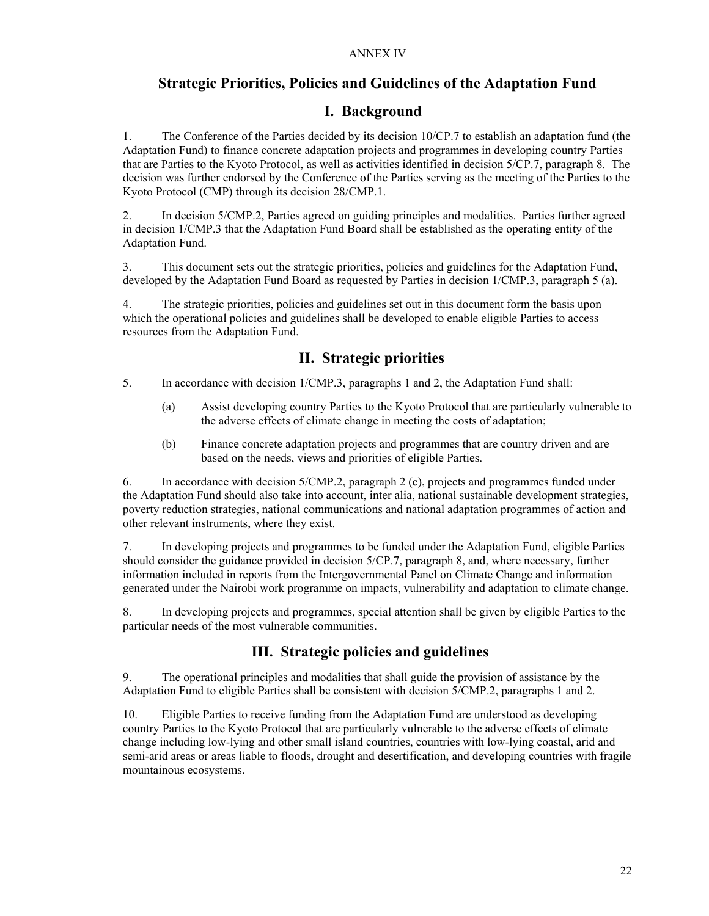### **Strategic Priorities, Policies and Guidelines of the Adaptation Fund**

### **I. Background**

1. The Conference of the Parties decided by its decision 10/CP.7 to establish an adaptation fund (the Adaptation Fund) to finance concrete adaptation projects and programmes in developing country Parties that are Parties to the Kyoto Protocol, as well as activities identified in decision 5/CP.7, paragraph 8. The decision was further endorsed by the Conference of the Parties serving as the meeting of the Parties to the Kyoto Protocol (CMP) through its decision 28/CMP.1.

2. In decision 5/CMP.2, Parties agreed on guiding principles and modalities. Parties further agreed in decision 1/CMP.3 that the Adaptation Fund Board shall be established as the operating entity of the Adaptation Fund.

3. This document sets out the strategic priorities, policies and guidelines for the Adaptation Fund, developed by the Adaptation Fund Board as requested by Parties in decision 1/CMP.3, paragraph 5 (a).

4. The strategic priorities, policies and guidelines set out in this document form the basis upon which the operational policies and guidelines shall be developed to enable eligible Parties to access resources from the Adaptation Fund.

### **II. Strategic priorities**

- 5. In accordance with decision 1/CMP.3, paragraphs 1 and 2, the Adaptation Fund shall:
	- (a) Assist developing country Parties to the Kyoto Protocol that are particularly vulnerable to the adverse effects of climate change in meeting the costs of adaptation;
	- (b) Finance concrete adaptation projects and programmes that are country driven and are based on the needs, views and priorities of eligible Parties.

6. In accordance with decision 5/CMP.2, paragraph 2 (c), projects and programmes funded under the Adaptation Fund should also take into account, inter alia, national sustainable development strategies, poverty reduction strategies, national communications and national adaptation programmes of action and other relevant instruments, where they exist.

7. In developing projects and programmes to be funded under the Adaptation Fund, eligible Parties should consider the guidance provided in decision 5/CP.7, paragraph 8, and, where necessary, further information included in reports from the Intergovernmental Panel on Climate Change and information generated under the Nairobi work programme on impacts, vulnerability and adaptation to climate change.

8. In developing projects and programmes, special attention shall be given by eligible Parties to the particular needs of the most vulnerable communities.

### **III. Strategic policies and guidelines**

9. The operational principles and modalities that shall guide the provision of assistance by the Adaptation Fund to eligible Parties shall be consistent with decision 5/CMP.2, paragraphs 1 and 2.

10. Eligible Parties to receive funding from the Adaptation Fund are understood as developing country Parties to the Kyoto Protocol that are particularly vulnerable to the adverse effects of climate change including low-lying and other small island countries, countries with low-lying coastal, arid and semi-arid areas or areas liable to floods, drought and desertification, and developing countries with fragile mountainous ecosystems.